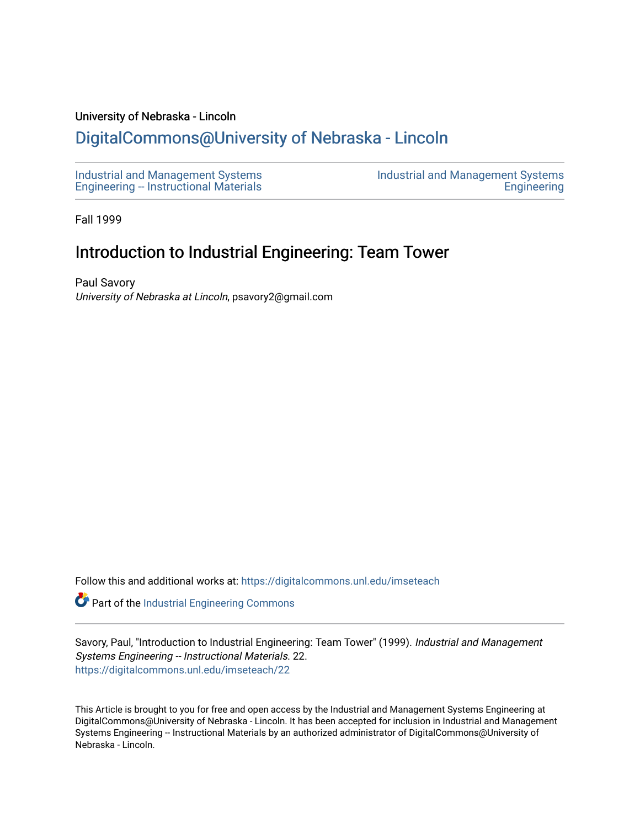#### University of Nebraska - Lincoln

## [DigitalCommons@University of Nebraska - Lincoln](https://digitalcommons.unl.edu/)

[Industrial and Management Systems](https://digitalcommons.unl.edu/imseteach)  [Engineering -- Instructional Materials](https://digitalcommons.unl.edu/imseteach)  [Industrial and Management Systems](https://digitalcommons.unl.edu/imse)  **Engineering** 

Fall 1999

# Introduction to Industrial Engineering: Team Tower

Paul Savory University of Nebraska at Lincoln, psavory2@gmail.com

Follow this and additional works at: [https://digitalcommons.unl.edu/imseteach](https://digitalcommons.unl.edu/imseteach?utm_source=digitalcommons.unl.edu%2Fimseteach%2F22&utm_medium=PDF&utm_campaign=PDFCoverPages) 

Part of the [Industrial Engineering Commons](http://network.bepress.com/hgg/discipline/307?utm_source=digitalcommons.unl.edu%2Fimseteach%2F22&utm_medium=PDF&utm_campaign=PDFCoverPages)

Savory, Paul, "Introduction to Industrial Engineering: Team Tower" (1999). Industrial and Management Systems Engineering -- Instructional Materials. 22. [https://digitalcommons.unl.edu/imseteach/22](https://digitalcommons.unl.edu/imseteach/22?utm_source=digitalcommons.unl.edu%2Fimseteach%2F22&utm_medium=PDF&utm_campaign=PDFCoverPages)

This Article is brought to you for free and open access by the Industrial and Management Systems Engineering at DigitalCommons@University of Nebraska - Lincoln. It has been accepted for inclusion in Industrial and Management Systems Engineering -- Instructional Materials by an authorized administrator of DigitalCommons@University of Nebraska - Lincoln.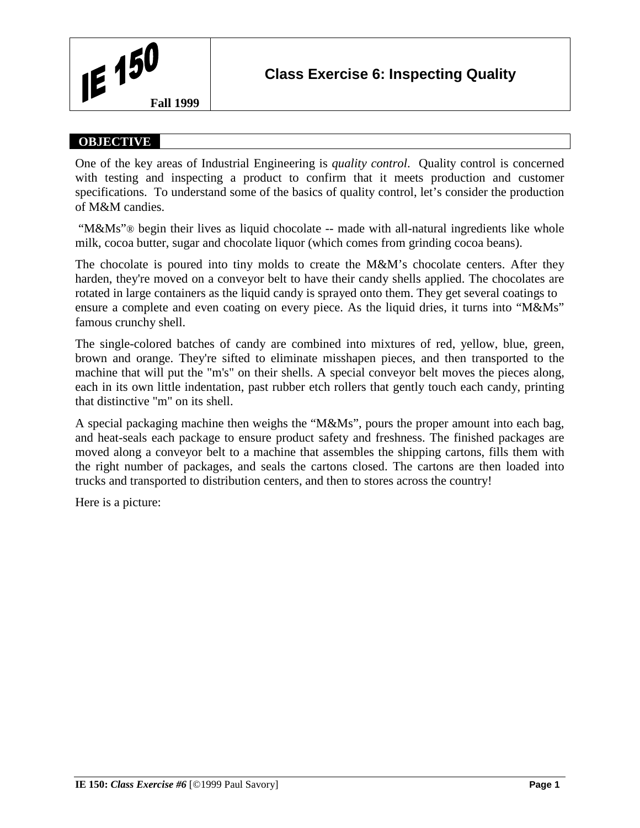

#### **OBJECTIVE**

One of the key areas of Industrial Engineering is *quality control*. Quality control is concerned with testing and inspecting a product to confirm that it meets production and customer specifications. To understand some of the basics of quality control, let's consider the production of M&M candies.

"M&Ms"® begin their lives as liquid chocolate -- made with all-natural ingredients like whole milk, cocoa butter, sugar and chocolate liquor (which comes from grinding cocoa beans).

The chocolate is poured into tiny molds to create the M&M's chocolate centers. After they harden, they're moved on a conveyor belt to have their candy shells applied. The chocolates are rotated in large containers as the liquid candy is sprayed onto them. They get several coatings to ensure a complete and even coating on every piece. As the liquid dries, it turns into "M&Ms" famous crunchy shell.

The single-colored batches of candy are combined into mixtures of red, yellow, blue, green, brown and orange. They're sifted to eliminate misshapen pieces, and then transported to the machine that will put the "m's" on their shells. A special conveyor belt moves the pieces along, each in its own little indentation, past rubber etch rollers that gently touch each candy, printing that distinctive "m" on its shell.

A special packaging machine then weighs the "M&Ms", pours the proper amount into each bag, and heat-seals each package to ensure product safety and freshness. The finished packages are moved along a conveyor belt to a machine that assembles the shipping cartons, fills them with the right number of packages, and seals the cartons closed. The cartons are then loaded into trucks and transported to distribution centers, and then to stores across the country!

Here is a picture: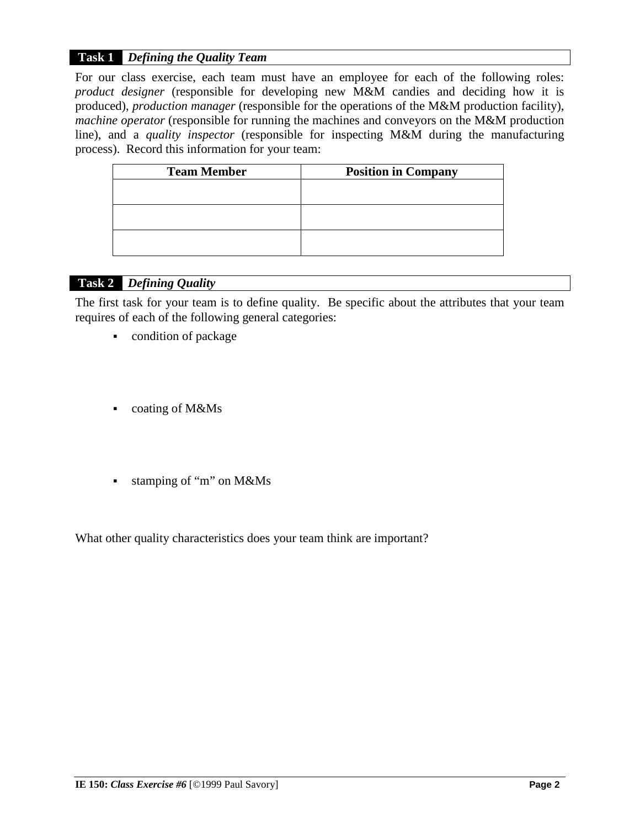### **Task 1** *Defining the Quality Team*

For our class exercise, each team must have an employee for each of the following roles: *product designer* (responsible for developing new M&M candies and deciding how it is produced), *production manager* (responsible for the operations of the M&M production facility), *machine operator* (responsible for running the machines and conveyors on the M&M production line), and a *quality inspector* (responsible for inspecting M&M during the manufacturing process). Record this information for your team:

| <b>Team Member</b> | <b>Position in Company</b> |  |  |  |  |  |
|--------------------|----------------------------|--|--|--|--|--|
|                    |                            |  |  |  |  |  |
|                    |                            |  |  |  |  |  |
|                    |                            |  |  |  |  |  |
|                    |                            |  |  |  |  |  |
|                    |                            |  |  |  |  |  |

#### **Task 2** *Defining Quality*

The first task for your team is to define quality. Be specific about the attributes that your team requires of each of the following general categories:

- condition of package
- coating of M&Ms
- stamping of "m" on M&Ms

What other quality characteristics does your team think are important?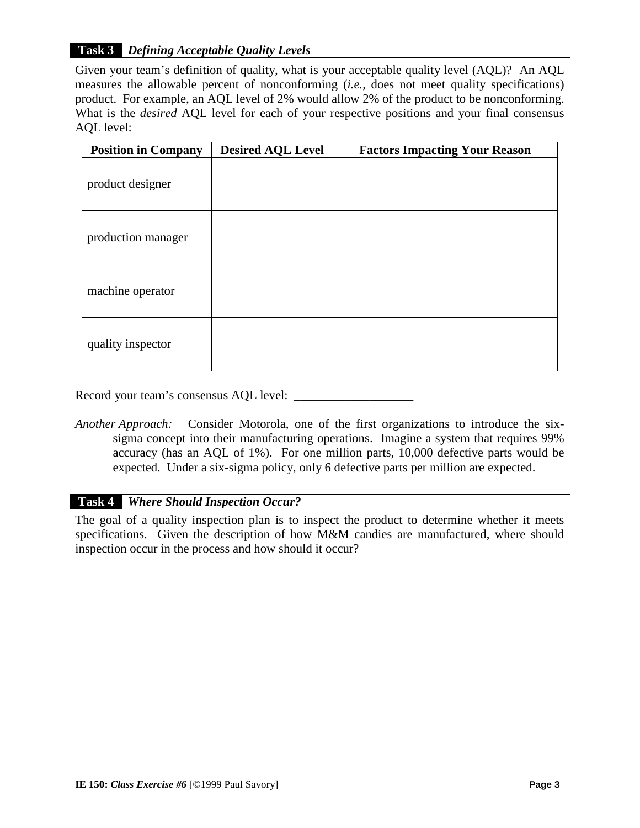## **Task 3** *Defining Acceptable Quality Levels*

Given your team's definition of quality, what is your acceptable quality level (AQL)? An AQL measures the allowable percent of nonconforming (*i.e.,* does not meet quality specifications) product. For example, an AQL level of 2% would allow 2% of the product to be nonconforming. What is the *desired* AQL level for each of your respective positions and your final consensus AQL level:

| <b>Position in Company</b> | <b>Desired AQL Level</b> | <b>Factors Impacting Your Reason</b> |
|----------------------------|--------------------------|--------------------------------------|
| product designer           |                          |                                      |
| production manager         |                          |                                      |
| machine operator           |                          |                                      |
| quality inspector          |                          |                                      |

Record your team's consensus AQL level:

*Another Approach:* Consider Motorola, one of the first organizations to introduce the sixsigma concept into their manufacturing operations. Imagine a system that requires 99% accuracy (has an AQL of 1%). For one million parts, 10,000 defective parts would be expected. Under a six-sigma policy, only 6 defective parts per million are expected.

#### **Task 4** *Where Should Inspection Occur?*

The goal of a quality inspection plan is to inspect the product to determine whether it meets specifications. Given the description of how M&M candies are manufactured, where should inspection occur in the process and how should it occur?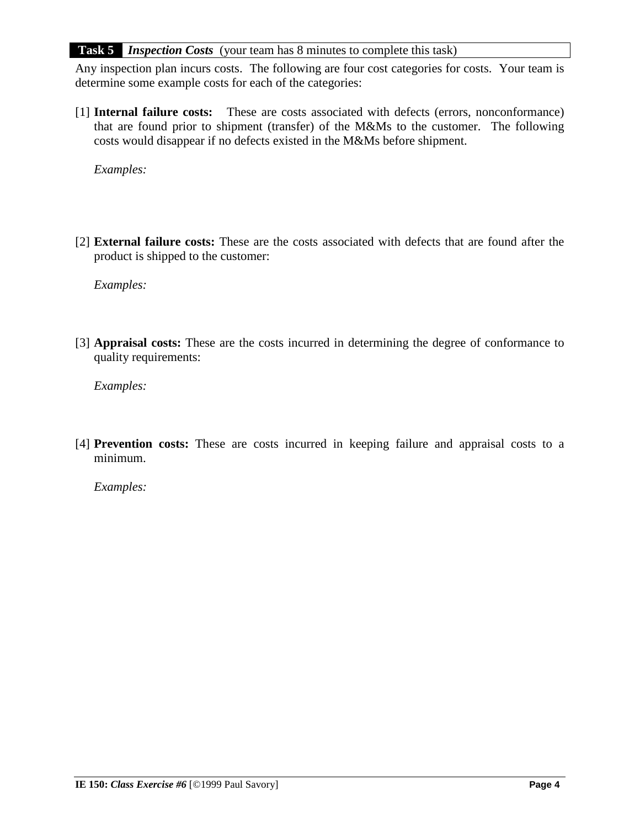#### **Task 5** *Inspection Costs* (your team has 8 minutes to complete this task)

Any inspection plan incurs costs. The following are four cost categories for costs. Your team is determine some example costs for each of the categories:

[1] **Internal failure costs:** These are costs associated with defects (errors, nonconformance) that are found prior to shipment (transfer) of the M&Ms to the customer. The following costs would disappear if no defects existed in the M&Ms before shipment.

*Examples:* 

[2] **External failure costs:** These are the costs associated with defects that are found after the product is shipped to the customer:

*Examples:* 

[3] **Appraisal costs:** These are the costs incurred in determining the degree of conformance to quality requirements:

*Examples:* 

[4] **Prevention costs:** These are costs incurred in keeping failure and appraisal costs to a minimum.

*Examples:*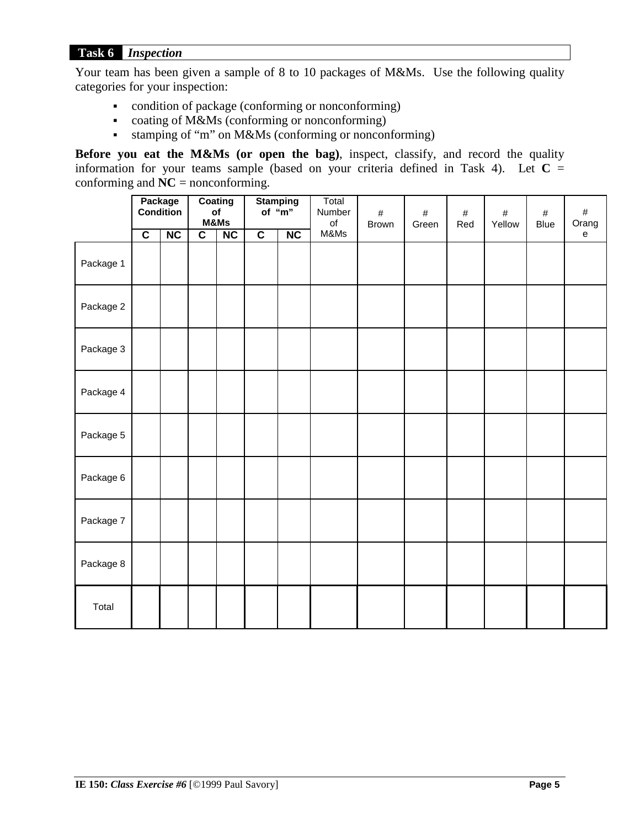### **Task 6** *Inspection*

Your team has been given a sample of 8 to 10 packages of M&Ms. Use the following quality categories for your inspection:

- condition of package (conforming or nonconforming)
- coating of M&Ms (conforming or nonconforming)
- stamping of "m" on M&Ms (conforming or nonconforming)

**Before you eat the M&Ms (or open the bag)**, inspect, classify, and record the quality information for your teams sample (based on your criteria defined in Task 4). Let  $C =$ conforming and **NC** = nonconforming.

|           | <b>Package</b><br>Condition |    | Coating<br>o <sub>f</sub><br>M&Ms |    | Stamping<br>of "m" |    | Total<br>Number<br>of | $\#$<br>Brown | $\#$<br>Green | $\#$<br>Red | $\#$<br>Yellow | $\#$<br>Blue | $\#$<br>Orang |
|-----------|-----------------------------|----|-----------------------------------|----|--------------------|----|-----------------------|---------------|---------------|-------------|----------------|--------------|---------------|
|           | $\overline{c}$              | NC | $\overline{c}$                    | NC | $\overline{c}$     | NC | M&Ms                  |               |               |             |                |              | ${\bf e}$     |
| Package 1 |                             |    |                                   |    |                    |    |                       |               |               |             |                |              |               |
| Package 2 |                             |    |                                   |    |                    |    |                       |               |               |             |                |              |               |
| Package 3 |                             |    |                                   |    |                    |    |                       |               |               |             |                |              |               |
| Package 4 |                             |    |                                   |    |                    |    |                       |               |               |             |                |              |               |
| Package 5 |                             |    |                                   |    |                    |    |                       |               |               |             |                |              |               |
| Package 6 |                             |    |                                   |    |                    |    |                       |               |               |             |                |              |               |
| Package 7 |                             |    |                                   |    |                    |    |                       |               |               |             |                |              |               |
| Package 8 |                             |    |                                   |    |                    |    |                       |               |               |             |                |              |               |
| Total     |                             |    |                                   |    |                    |    |                       |               |               |             |                |              |               |